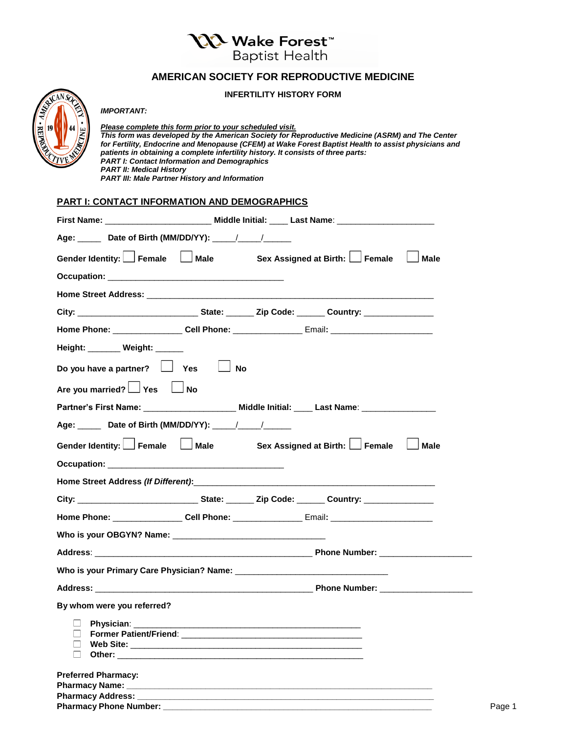**\QQ Wake Forest™** 

**Baptist Health** 

## **AMERICAN SOCIETY FOR REPRODUCTIVE MEDICINE**

#### **INFERTILITY HISTORY FORM**



## *IMPORTANT:*

*Please complete this form prior to your scheduled visit. This form was developed by the American Society for Reproductive Medicine (ASRM) and The Center for Fertility, Endocrine and Menopause (CFEM) at Wake Forest Baptist Health to assist physicians and patients in obtaining a complete infertility history. It consists of three parts: PART I: Contact Information and Demographics PART II: Medical History PART III: Male Partner History and Information*

#### **PART I: CONTACT INFORMATION AND DEMOGRAPHICS**

| Age: ______ Date of Birth (MM/DD/YY): ____/ ___/______                                               |           |  |             |
|------------------------------------------------------------------------------------------------------|-----------|--|-------------|
| Gender Identity: Female   Male Sex Assigned at Birth: Female                                         |           |  | <b>Male</b> |
|                                                                                                      |           |  |             |
|                                                                                                      |           |  |             |
|                                                                                                      |           |  |             |
| Home Phone: ________________Cell Phone: ____________________Email: _________________________________ |           |  |             |
| Height: _______ Weight: ______                                                                       |           |  |             |
| Do you have a partner? $\Box$ Yes                                                                    | <b>No</b> |  |             |
| Are you married? $\Box$ Yes                                                                          | $\Box$ No |  |             |
| Partner's First Name: ________________________ Middle Initial: ____ Last Name: _______________       |           |  |             |
|                                                                                                      |           |  |             |
| Gender Identity: Female   Male Sex Assigned at Birth: Female                                         |           |  | <b>Male</b> |
|                                                                                                      |           |  |             |
|                                                                                                      |           |  |             |
|                                                                                                      |           |  |             |
| Home Phone: _________________Cell Phone: __________________Email: __________________________________ |           |  |             |
|                                                                                                      |           |  |             |
|                                                                                                      |           |  |             |
|                                                                                                      |           |  |             |
|                                                                                                      |           |  |             |
| By whom were you referred?                                                                           |           |  |             |
| $\Box$ Physician: $\Box$                                                                             |           |  |             |
| $\Box$                                                                                               |           |  |             |
|                                                                                                      |           |  |             |
|                                                                                                      |           |  |             |
| <b>Preferred Pharmacy:</b>                                                                           |           |  |             |
|                                                                                                      |           |  |             |
| Pharmacy Phone Number: _                                                                             |           |  |             |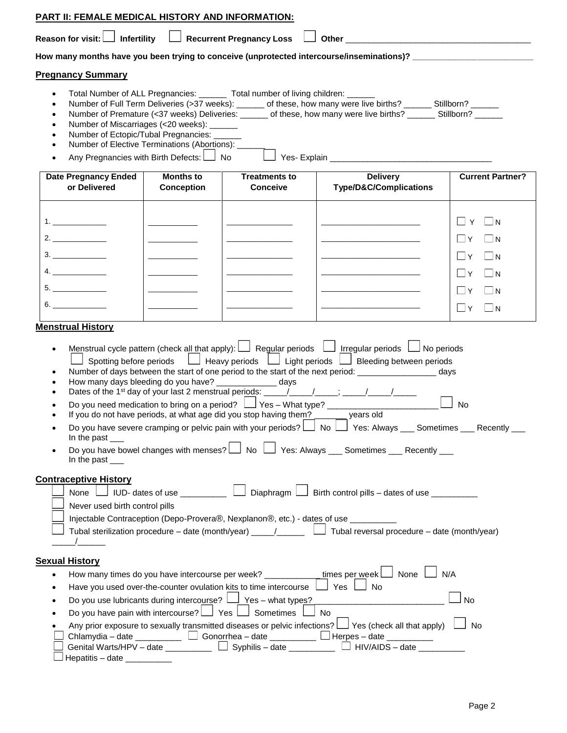|                                                                                                                                                                                                                                                                                                                                                                                                                                                                                                                                                                                                                                                                                                                                                                                                                                                                                                                                                                                                                                                  |                                                                                                                                                                                                                                                                                                                                                                                                                                                                                                                           | PART II: FEMALE MEDICAL HISTORY AND INFORMATION: |                                                                                                                                                                                                                    |                                                                                                                                                                                                                                                                                                                                                                                                                                                 |                                                                      |  |  |  |
|--------------------------------------------------------------------------------------------------------------------------------------------------------------------------------------------------------------------------------------------------------------------------------------------------------------------------------------------------------------------------------------------------------------------------------------------------------------------------------------------------------------------------------------------------------------------------------------------------------------------------------------------------------------------------------------------------------------------------------------------------------------------------------------------------------------------------------------------------------------------------------------------------------------------------------------------------------------------------------------------------------------------------------------------------|---------------------------------------------------------------------------------------------------------------------------------------------------------------------------------------------------------------------------------------------------------------------------------------------------------------------------------------------------------------------------------------------------------------------------------------------------------------------------------------------------------------------------|--------------------------------------------------|--------------------------------------------------------------------------------------------------------------------------------------------------------------------------------------------------------------------|-------------------------------------------------------------------------------------------------------------------------------------------------------------------------------------------------------------------------------------------------------------------------------------------------------------------------------------------------------------------------------------------------------------------------------------------------|----------------------------------------------------------------------|--|--|--|
|                                                                                                                                                                                                                                                                                                                                                                                                                                                                                                                                                                                                                                                                                                                                                                                                                                                                                                                                                                                                                                                  |                                                                                                                                                                                                                                                                                                                                                                                                                                                                                                                           |                                                  |                                                                                                                                                                                                                    |                                                                                                                                                                                                                                                                                                                                                                                                                                                 |                                                                      |  |  |  |
|                                                                                                                                                                                                                                                                                                                                                                                                                                                                                                                                                                                                                                                                                                                                                                                                                                                                                                                                                                                                                                                  |                                                                                                                                                                                                                                                                                                                                                                                                                                                                                                                           |                                                  |                                                                                                                                                                                                                    | How many months have you been trying to conceive (unprotected intercourse/inseminations)? _____________________                                                                                                                                                                                                                                                                                                                                 |                                                                      |  |  |  |
|                                                                                                                                                                                                                                                                                                                                                                                                                                                                                                                                                                                                                                                                                                                                                                                                                                                                                                                                                                                                                                                  | <b>Pregnancy Summary</b>                                                                                                                                                                                                                                                                                                                                                                                                                                                                                                  |                                                  |                                                                                                                                                                                                                    |                                                                                                                                                                                                                                                                                                                                                                                                                                                 |                                                                      |  |  |  |
|                                                                                                                                                                                                                                                                                                                                                                                                                                                                                                                                                                                                                                                                                                                                                                                                                                                                                                                                                                                                                                                  | Total Number of ALL Pregnancies: _______ Total number of living children: ______<br>Number of Full Term Deliveries (>37 weeks): ______ of these, how many were live births? ______ Stillborn? _____<br>Number of Premature (<37 weeks) Deliveries: ______ of these, how many were live births? ______ Stillborn? ______<br>Number of Miscarriages (<20 weeks): _______<br>Number of Ectopic/Tubal Pregnancies: _____<br>Number of Elective Terminations (Abortions): ___<br>Any Pregnancies with Birth Defects: $\Box$ No |                                                  |                                                                                                                                                                                                                    |                                                                                                                                                                                                                                                                                                                                                                                                                                                 |                                                                      |  |  |  |
|                                                                                                                                                                                                                                                                                                                                                                                                                                                                                                                                                                                                                                                                                                                                                                                                                                                                                                                                                                                                                                                  | <b>Date Pregnancy Ended</b><br>or Delivered                                                                                                                                                                                                                                                                                                                                                                                                                                                                               | <b>Months to</b><br><b>Conception</b>            | <b>Treatments to</b><br><b>Conceive</b>                                                                                                                                                                            | <b>Delivery</b><br>Type/D&C/Complications                                                                                                                                                                                                                                                                                                                                                                                                       | <b>Current Partner?</b>                                              |  |  |  |
|                                                                                                                                                                                                                                                                                                                                                                                                                                                                                                                                                                                                                                                                                                                                                                                                                                                                                                                                                                                                                                                  |                                                                                                                                                                                                                                                                                                                                                                                                                                                                                                                           |                                                  |                                                                                                                                                                                                                    | <u> 1989 - Andrea Stein, Amerikaansk politiker (</u>                                                                                                                                                                                                                                                                                                                                                                                            | $\Box$ N<br>$\Box$<br>Y<br>$\Box$ Y<br>$\Box$ N                      |  |  |  |
|                                                                                                                                                                                                                                                                                                                                                                                                                                                                                                                                                                                                                                                                                                                                                                                                                                                                                                                                                                                                                                                  |                                                                                                                                                                                                                                                                                                                                                                                                                                                                                                                           |                                                  |                                                                                                                                                                                                                    |                                                                                                                                                                                                                                                                                                                                                                                                                                                 | $\Box$ Y<br>$\Box$ N                                                 |  |  |  |
|                                                                                                                                                                                                                                                                                                                                                                                                                                                                                                                                                                                                                                                                                                                                                                                                                                                                                                                                                                                                                                                  | 5.<br>6.                                                                                                                                                                                                                                                                                                                                                                                                                                                                                                                  |                                                  |                                                                                                                                                                                                                    | the control of the control of the control of the                                                                                                                                                                                                                                                                                                                                                                                                | $\Box$ Y<br>$\Box$ N<br>$\Box$ Y<br>$\Box$ N<br>$\Box$ Y<br>$\Box$ N |  |  |  |
|                                                                                                                                                                                                                                                                                                                                                                                                                                                                                                                                                                                                                                                                                                                                                                                                                                                                                                                                                                                                                                                  | <b>Menstrual History</b>                                                                                                                                                                                                                                                                                                                                                                                                                                                                                                  |                                                  |                                                                                                                                                                                                                    |                                                                                                                                                                                                                                                                                                                                                                                                                                                 |                                                                      |  |  |  |
| Menstrual cycle pattern (check all that apply): $\Box$ Regular periods $\Box$ Irregular periods $\Box$ No periods<br>$\bullet$<br>Spotting before periods $\Box$ Heavy periods $\Box$ Light periods $\Box$ Bleeding between periods<br>Number of days between the start of one period to the start of the next period: __________________________days<br>How many days bleeding do you have? _____________ days<br>Do you need medication to bring on a period? $\Box$ Yes - What type? ___________<br><b>No</b><br>If you do not have periods, at what age did you stop having them? years old<br>Do you have severe cramping or pelvic pain with your periods? $\Box$ No $\Box$ Yes: Always $\Box$ Sometimes $\Box$ Recently $\Box$<br>٠<br>In the past $\_\_$<br>Do you have bowel changes with menses? $\bigsqcup$ No $\bigsqcup$ Yes: Always ___ Sometimes ___ Recently ___<br>In the past ___<br><b>Contraceptive History</b><br>$\Box$ Diaphragm $\Box$ Birth control pills – dates of use $\Box$<br>None $\Box$ IUD- dates of use $\Box$ |                                                                                                                                                                                                                                                                                                                                                                                                                                                                                                                           |                                                  |                                                                                                                                                                                                                    |                                                                                                                                                                                                                                                                                                                                                                                                                                                 |                                                                      |  |  |  |
|                                                                                                                                                                                                                                                                                                                                                                                                                                                                                                                                                                                                                                                                                                                                                                                                                                                                                                                                                                                                                                                  | Never used birth control pills<br>Injectable Contraception (Depo-Provera®, Nexplanon®, etc.) - dates of use ________<br>Tubal sterilization procedure – date (month/year) _____/_______ L____ Tubal reversal procedure – date (month/year)                                                                                                                                                                                                                                                                                |                                                  |                                                                                                                                                                                                                    |                                                                                                                                                                                                                                                                                                                                                                                                                                                 |                                                                      |  |  |  |
|                                                                                                                                                                                                                                                                                                                                                                                                                                                                                                                                                                                                                                                                                                                                                                                                                                                                                                                                                                                                                                                  | <b>Sexual History</b><br>Hepatitis - date ___________                                                                                                                                                                                                                                                                                                                                                                                                                                                                     |                                                  | Have you used over-the-counter ovulation kits to time intercourse  <br>Do you use lubricants during intercourse? $\Box$ Yes - what types?<br>Do you have pain with intercourse? $\Box$ Yes $\Box$ Sometimes $\Box$ | How many times do you have intercourse per week? _____________times per week $\Box$ None $\Box$ N/A<br>$\Box$ Yes $\Box$ No<br>No<br>Any prior exposure to sexually transmitted diseases or pelvic infections? $\bigsqcup$ Yes (check all that apply) $\bigsqcup$ No<br>Chlamydia - date _________ _ Gonorrhea - date ________ L Herpes - date ________<br>Genital Warts/HPV – date $\Box$ $\Box$ Syphilis – date $\Box$ HIV/AIDS – date $\Box$ | <b>No</b>                                                            |  |  |  |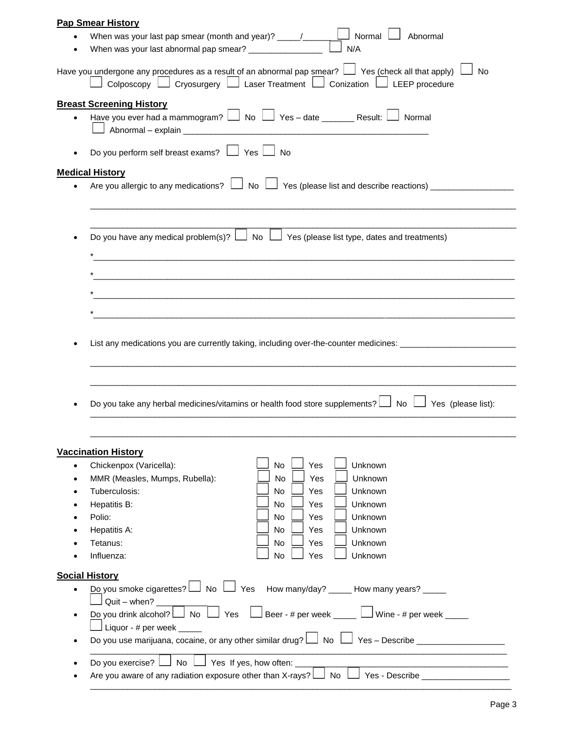|           | <b>Pap Smear History</b>                                                     |                                                                                                                                                                                                                 |
|-----------|------------------------------------------------------------------------------|-----------------------------------------------------------------------------------------------------------------------------------------------------------------------------------------------------------------|
|           |                                                                              |                                                                                                                                                                                                                 |
|           | When was your last abnormal pap smear? ________________                      | N/A                                                                                                                                                                                                             |
|           |                                                                              | Have you undergone any procedures as a result of an abnormal pap smear? $\Box$ Yes (check all that apply)<br>No<br>Colposcopy $\Box$ Cryosurgery $\Box$ Laser Treatment $\Box$ Conization $\Box$ LEEP procedure |
|           | <b>Breast Screening History</b>                                              |                                                                                                                                                                                                                 |
| $\bullet$ |                                                                              | Have you ever had a mammogram? $\Box$ No $\Box$ Yes - date ________ Result: $\Box$ Normal                                                                                                                       |
|           | Do you perform self breast exams? $\Box$ Yes $\Box$ No                       |                                                                                                                                                                                                                 |
|           | <b>Medical History</b>                                                       |                                                                                                                                                                                                                 |
|           |                                                                              | Are you allergic to any medications? $\Box$ No $\Box$ Yes (please list and describe reactions) $\Box$                                                                                                           |
|           |                                                                              |                                                                                                                                                                                                                 |
|           |                                                                              |                                                                                                                                                                                                                 |
|           |                                                                              |                                                                                                                                                                                                                 |
|           |                                                                              | Do you have any medical problem(s)? $\Box$ No $\Box$ Yes (please list type, dates and treatments)                                                                                                               |
|           |                                                                              |                                                                                                                                                                                                                 |
|           |                                                                              |                                                                                                                                                                                                                 |
|           |                                                                              |                                                                                                                                                                                                                 |
|           |                                                                              |                                                                                                                                                                                                                 |
|           |                                                                              |                                                                                                                                                                                                                 |
|           |                                                                              | List any medications you are currently taking, including over-the-counter medicines: ________________________                                                                                                   |
|           |                                                                              |                                                                                                                                                                                                                 |
|           |                                                                              |                                                                                                                                                                                                                 |
|           |                                                                              |                                                                                                                                                                                                                 |
|           |                                                                              |                                                                                                                                                                                                                 |
|           |                                                                              | Do you take any herbal medicines/vitamins or health food store supplements? $\Box$ No $\Box$ Yes (please list):                                                                                                 |
|           |                                                                              |                                                                                                                                                                                                                 |
|           |                                                                              |                                                                                                                                                                                                                 |
|           | <b>Vaccination History</b>                                                   |                                                                                                                                                                                                                 |
| $\bullet$ | Chickenpox (Varicella):                                                      | Yes<br>Unknown<br>No                                                                                                                                                                                            |
| $\bullet$ | MMR (Measles, Mumps, Rubella):                                               | No<br>Yes<br>Unknown                                                                                                                                                                                            |
|           | Tuberculosis:                                                                | No<br><b>Yes</b><br>Unknown                                                                                                                                                                                     |
|           | Hepatitis B:                                                                 | No<br>Yes<br>Unknown                                                                                                                                                                                            |
|           | Polio:                                                                       | Yes<br>Unknown<br>No                                                                                                                                                                                            |
|           | Hepatitis A:                                                                 | No<br>Unknown<br>Yes                                                                                                                                                                                            |
|           | Tetanus:                                                                     | No<br>Yes<br>Unknown                                                                                                                                                                                            |
|           | Influenza:                                                                   | No<br>Unknown<br>Yes                                                                                                                                                                                            |
|           |                                                                              |                                                                                                                                                                                                                 |
| ٠         | <b>Social History</b>                                                        | Do you smoke cigarettes? $\Box$ No $\Box$ Yes How many/day? ____ How many years? ____                                                                                                                           |
| $\bullet$ | $Quit - when?$                                                               |                                                                                                                                                                                                                 |
|           | $\perp$ Liquor - # per week _____                                            | Do you drink alcohol? $\Box$ No $\Box$ Yes $\Box$ Beer - # per week $\Box$ Wine - # per week $\Box$                                                                                                             |
| $\bullet$ |                                                                              |                                                                                                                                                                                                                 |
|           |                                                                              |                                                                                                                                                                                                                 |
|           | $\Box$ Yes If yes, how often: $\_$<br>$\Box$ No $\Box$<br>Do you exercise? L | Are you aware of any radiation exposure other than X-rays? In No Indianager Sesseribe Are Secure 2011                                                                                                           |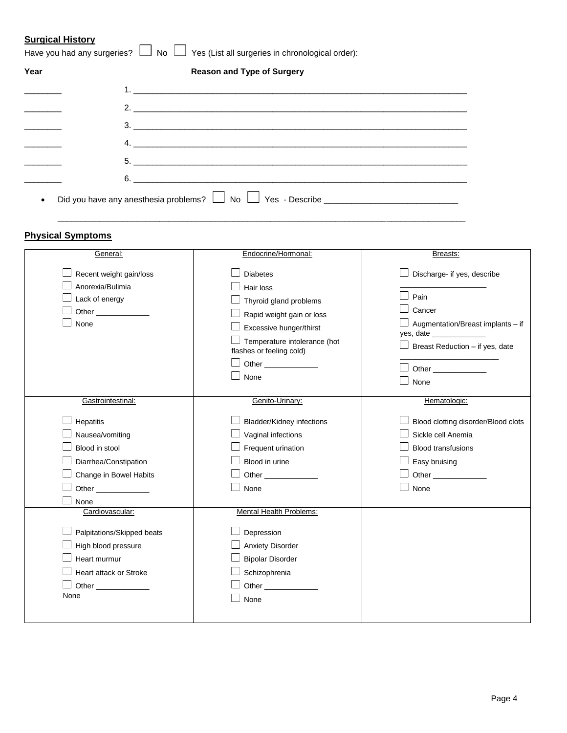# **Surgical History**

| Year | <b>Reason and Type of Surgery</b> |
|------|-----------------------------------|
|      |                                   |
|      | 2. $\overline{\phantom{a}}$       |
|      | 3.                                |
|      |                                   |
|      |                                   |
|      | $6.$ $\overline{\phantom{a}}$     |

\_\_\_\_\_\_\_\_\_\_\_\_\_\_\_\_\_\_\_\_\_\_\_\_\_\_\_\_\_\_\_\_\_\_\_\_\_\_\_\_\_\_\_\_\_\_\_\_\_\_\_\_\_\_\_\_\_\_\_\_\_\_\_\_\_\_\_\_\_\_\_\_\_\_\_\_\_\_\_\_\_\_\_\_\_\_\_\_

# **Physical Symptoms**

| General:                                                                                                                          | Endocrine/Hormonal:                                                                                                                                                                         | Breasts:                                                                                                                                                  |
|-----------------------------------------------------------------------------------------------------------------------------------|---------------------------------------------------------------------------------------------------------------------------------------------------------------------------------------------|-----------------------------------------------------------------------------------------------------------------------------------------------------------|
| Recent weight gain/loss<br>Anorexia/Bulimia<br>Lack of energy<br>None                                                             | <b>Diabetes</b><br>Hair loss<br>Thyroid gland problems<br>Rapid weight gain or loss<br>Excessive hunger/thirst<br>Temperature intolerance (hot<br>flashes or feeling cold)<br>Other<br>None | Discharge- if yes, describe<br>Pain<br>Cancer<br>J Augmentation/Breast implants – if<br>Breast Reduction - if yes, date<br><b>Other Community</b><br>None |
| Gastrointestinal:                                                                                                                 | Genito-Urinary:                                                                                                                                                                             | Hematologic:                                                                                                                                              |
| Hepatitis<br>Nausea/vomiting<br>Blood in stool<br>Diarrhea/Constipation<br>Change in Bowel Habits<br>Other ______________<br>None | <b>Bladder/Kidney infections</b><br>Vaginal infections<br>Frequent urination<br>Blood in urine<br><b>Other Community</b><br>None                                                            | Blood clotting disorder/Blood clots<br>Sickle cell Anemia<br><b>Blood transfusions</b><br>Easy bruising<br>Other<br>None                                  |
| Cardiovascular:<br>Palpitations/Skipped beats<br>High blood pressure<br>Heart murmur<br>Heart attack or Stroke<br>None            | Mental Health Problems:<br>Depression<br><b>Anxiety Disorder</b><br><b>Bipolar Disorder</b><br>Schizophrenia<br><b>Other Community</b><br>None                                              |                                                                                                                                                           |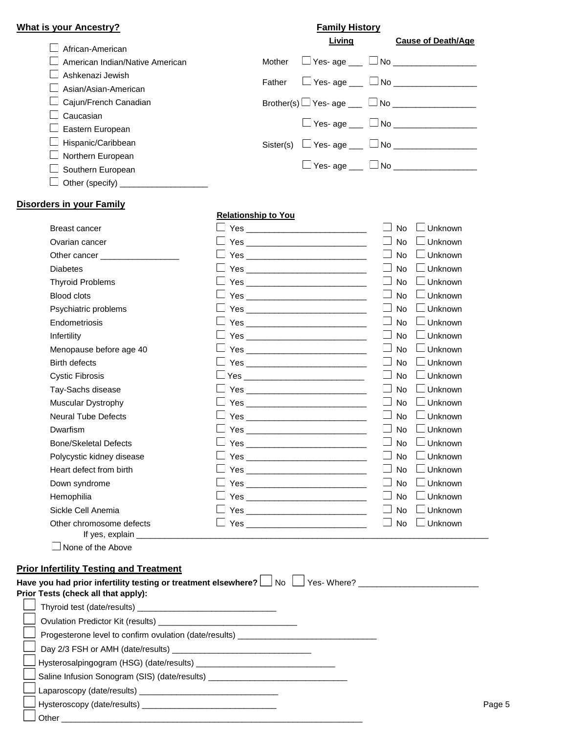| <b>What is your Ancestry?</b>   |           | <b>Family History</b>                           |                           |
|---------------------------------|-----------|-------------------------------------------------|---------------------------|
| African-American                |           | Living                                          | <b>Cause of Death/Age</b> |
| American Indian/Native American | Mother    | $\Box$ Yes- age ___ $\Box$ No _______           |                           |
| Ashkenazi Jewish                | Father    | $\Box$ Yes- age $\Box$ $\Box$ No $\Box$         |                           |
| ∟ Asian/Asian-American          |           |                                                 |                           |
| $\Box$ Cajun/French Canadian    |           | Brother(s) $\Box$ Yes- age ___ $\Box$ No ______ |                           |
| Caucasian                       |           |                                                 |                           |
| $\Box$ Eastern European         |           |                                                 |                           |
| $\Box$ Hispanic/Caribbean       | Sister(s) | $\Box$ Yes- age ___ $\Box$ No ______            |                           |
| Northern European               |           |                                                 |                           |
| $\Box$ Southern European        |           | $\Box$ Yes- age $\Box$ No $\Box$                |                           |
| Other (specify)                 |           |                                                 |                           |

#### **Disorders in your Family**

Other \_\_\_\_\_\_\_\_\_\_\_\_\_\_\_\_\_\_\_\_\_\_\_\_\_\_\_\_\_\_\_\_\_\_\_\_\_\_\_\_\_\_\_\_\_\_\_\_\_\_\_\_\_\_\_\_\_\_\_\_\_\_\_\_\_

# **Relationship to You**

| <b>Breast cancer</b>                           |                                                                                                                                                                                                                                      | $\Box$ Unknown<br><b>No</b>                    |
|------------------------------------------------|--------------------------------------------------------------------------------------------------------------------------------------------------------------------------------------------------------------------------------------|------------------------------------------------|
| Ovarian cancer                                 |                                                                                                                                                                                                                                      | Unknown<br><b>No</b>                           |
| Other cancer                                   | <b>Yes</b> and the contract of the contract of the contract of the contract of the contract of the contract of the contract of the contract of the contract of the contract of the contract of the contract of the contract of the   | <b>No</b><br>$\Box$ Unknown                    |
| <b>Diabetes</b>                                | <b>Yes Second Second Second Second Second Second Second Second Second Second Second Second Second Second Second Second Second Second Second Second Second Second Second Second Second Second Second Second Second Second Secon</b>   | <b>No</b><br>$\Box$ Unknown                    |
| <b>Thyroid Problems</b>                        |                                                                                                                                                                                                                                      | $\Box$ Unknown<br><b>No</b>                    |
| <b>Blood clots</b>                             | Yes and the contract of the contract of the contract of the contract of the contract of the contract of the contract of the contract of the contract of the contract of the contract of the contract of the contract of the co       | $\Box$ Unknown<br><b>No</b>                    |
| Psychiatric problems                           |                                                                                                                                                                                                                                      | <b>No</b><br>$\Box$ Unknown                    |
| Endometriosis                                  |                                                                                                                                                                                                                                      | $\vert \ \vert$<br>No<br>$\Box$ Unknown        |
| Infertility                                    |                                                                                                                                                                                                                                      | $\Box$ Unknown<br>$\Box$<br><b>No</b>          |
| Menopause before age 40                        |                                                                                                                                                                                                                                      | $\perp$<br><b>No</b><br>$\Box$ Unknown         |
| <b>Birth defects</b>                           | _  Yes _______________________________                                                                                                                                                                                               | <b>No</b><br>$\Box$ Unknown                    |
| <b>Cystic Fibrosis</b>                         | _l Yes _____________________________                                                                                                                                                                                                 | <b>No</b><br>$\Box$ Unknown                    |
| Tay-Sachs disease                              | <b>Yes Second Second Second Second Second Second Second Second Second Second Second Second Second Second Second Second Second Second Second Second Second Second Second Second Second Second Second Second Second Second Secon</b>   | <b>No</b><br>$\Box$ Unknown                    |
| Muscular Dystrophy                             |                                                                                                                                                                                                                                      | $\Box$ Unknown<br>$\mathbf{I}$<br><b>No</b>    |
| <b>Neural Tube Defects</b>                     |                                                                                                                                                                                                                                      | $\mathbf{L}$<br><b>No</b><br>$\Box$ Unknown    |
| Dwarfism                                       |                                                                                                                                                                                                                                      | No<br>$\Box$ Unknown                           |
| <b>Bone/Skeletal Defects</b>                   |                                                                                                                                                                                                                                      | $\vert \ \vert$<br><b>No</b><br>$\Box$ Unknown |
| Polycystic kidney disease                      |                                                                                                                                                                                                                                      | $\vert \ \vert$<br>$\Box$ Unknown<br><b>No</b> |
| Heart defect from birth                        |                                                                                                                                                                                                                                      | <b>No</b><br>$\Box$ Unknown                    |
| Down syndrome                                  |                                                                                                                                                                                                                                      | $\Box$ Unknown<br><b>No</b>                    |
| Hemophilia                                     |                                                                                                                                                                                                                                      | $\Box$ Unknown<br><b>No</b>                    |
| Sickle Cell Anemia                             | <b>The Second Second Second Second Second Second Second Second Second Second Second Second Second Second Second Second Second Second Second Second Second Second Second Second Second Second Second Second Second Second Second </b> | $\Box$ Unknown<br><b>No</b>                    |
| Other chromosome defects                       |                                                                                                                                                                                                                                      | $\Box$ Unknown<br><b>No</b>                    |
| If yes, explain _____________                  |                                                                                                                                                                                                                                      |                                                |
| None of the Above                              |                                                                                                                                                                                                                                      |                                                |
| <b>Prior Infertility Testing and Treatment</b> |                                                                                                                                                                                                                                      |                                                |
|                                                | Have you had prior infertility testing or treatment elsewhere? $\Box$ No $\Box$ Yes-Where?                                                                                                                                           |                                                |
| Prior Tests (check all that apply):            |                                                                                                                                                                                                                                      |                                                |
|                                                |                                                                                                                                                                                                                                      |                                                |
|                                                |                                                                                                                                                                                                                                      |                                                |
|                                                | Progesterone level to confirm ovulation (date/results) _________________________                                                                                                                                                     |                                                |
|                                                |                                                                                                                                                                                                                                      |                                                |
|                                                |                                                                                                                                                                                                                                      |                                                |
|                                                | Saline Infusion Sonogram (SIS) (date/results) __________________________________                                                                                                                                                     |                                                |
|                                                |                                                                                                                                                                                                                                      |                                                |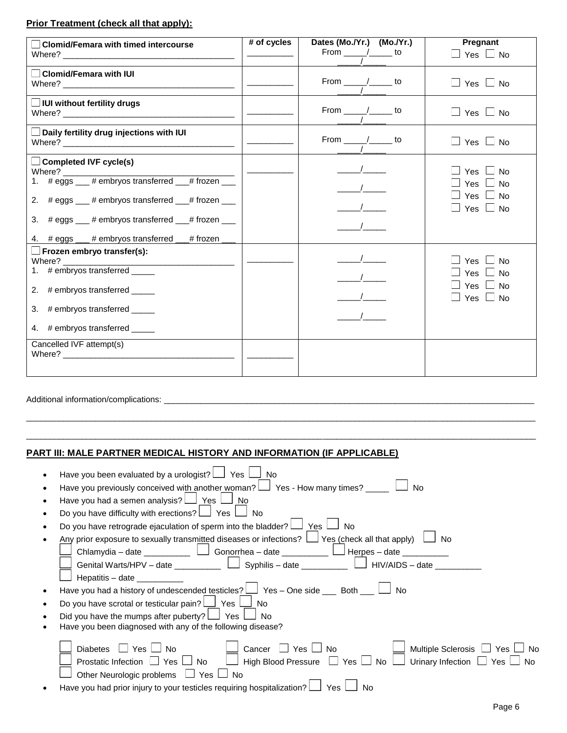# **Prior Treatment (check all that apply):**

| $\Box$ Clomid/Femara with timed intercourse                                                                                                                                                                                                                                                               | # of cycles | Dates (Mo./Yr.) (Mo./Yr.)<br>From $\frac{\ }{\ }$ $\frac{\ }{\ }$ to | Pregnant<br>$\Box$ Yes $\Box$ No                                                       |
|-----------------------------------------------------------------------------------------------------------------------------------------------------------------------------------------------------------------------------------------------------------------------------------------------------------|-------------|----------------------------------------------------------------------|----------------------------------------------------------------------------------------|
| Clomid/Femara with IUI                                                                                                                                                                                                                                                                                    |             | From $\frac{\ }{\ }$ $\frac{\ }{\ }$ to                              | $\Box$ Yes $\Box$ No                                                                   |
| IUI without fertility drugs                                                                                                                                                                                                                                                                               |             | From $\frac{\ }{\ }$ $\frac{\ }{\ }$ to                              | $\Box$ Yes $\Box$ No                                                                   |
| $\Box$ Daily fertility drug injections with IUI                                                                                                                                                                                                                                                           |             | From $\frac{\ }{\ }$ to                                              | $\Box$ Yes $\Box$ No                                                                   |
| $\Box$ Completed IVF cycle(s)<br>Where? $\frac{1}{1}$ # eggs $\frac{1}{1}$ # embryos transferred $\frac{1}{1}$ # frozen $\frac{1}{1}$<br>2. # eggs ___ # embryos transferred ___ # frozen ___<br>3. # eggs ___ # embryos transferred ___ # frozen ___<br>4. # eggs ___ # embryos transferred __# frozen _ |             |                                                                      | ⊿ Yes ∠ No<br>$\sqcup$ Yes $\sqcup$ No<br>$\Box$ Yes $\Box$ No<br>$\Box$ Yes $\Box$ No |
| $\square$ Frozen embryo transfer(s):<br>2. # embryos transferred _____<br>3. # embryos transferred _____<br>4. # embryos transferred _____                                                                                                                                                                |             |                                                                      | $\Box$ Yes $\Box$ No<br>$\Box$ Yes $\Box$ No<br>□ Yes □ No<br>$\Box$ Yes $\Box$ No     |
| Cancelled IVF attempt(s)                                                                                                                                                                                                                                                                                  |             |                                                                      |                                                                                        |

Additional information/complications: \_

## **PART III: MALE PARTNER MEDICAL HISTORY AND INFORMATION (IF APPLICABLE)**

| Have you been evaluated by a urologist? $\Box$ Yes $\Box$<br>」No                                                           |
|----------------------------------------------------------------------------------------------------------------------------|
| Have you previously conceived with another woman? $\Box$ Yes - How many times? $\Box$<br>No.                               |
| Have you had a semen analysis? $\Box$ Yes $\Box$<br>No                                                                     |
| Do you have difficulty with erections? $\Box$ Yes<br>No                                                                    |
| Do you have retrograde ejaculation of sperm into the bladder? $\Box$ Yes I<br>No                                           |
| Any prior exposure to sexually transmitted diseases or infections? □ Yes (check all that apply)<br>$\Box$ No               |
|                                                                                                                            |
| Genital Warts/HPV – date $\Box$ Syphilis – date $\Box$ HIV/AIDS – date                                                     |
| Hepatitis – date $\frac{1}{2}$                                                                                             |
| Have you had a history of undescended testicles? $\bigsqcup$ Yes - One side ___ Both __ $\bigsqcup$<br>l No                |
| Do you have scrotal or testicular pain? $\Box$ Yes<br>No.                                                                  |
| Did you have the mumps after puberty? $\Box$ Yes<br>No                                                                     |
| Have you been diagnosed with any of the following disease?                                                                 |
|                                                                                                                            |
| $\Box$ Yes $\Box$<br>Multiple Sclerosis □ Yes □ No<br>Cancer $\Box$ Yes $\Box$ No<br>$\Box$ No<br><b>Diabetes</b>          |
| High Blood Pressure $\Box$ Yes $\Box$ No $\Box$ Urinary Infection $\Box$ Yes $\Box$ No<br>Prostatic Infection □ Yes<br>No. |
| Other Neurologic problems $\Box$ Yes $\Box$ No                                                                             |
| Have you had prior injury to your testicles requiring hospitalization?<br>Yes                                              |
|                                                                                                                            |

\_\_\_\_\_\_\_\_\_\_\_\_\_\_\_\_\_\_\_\_\_\_\_\_\_\_\_\_\_\_\_\_\_\_\_\_\_\_\_\_\_\_\_\_\_\_\_\_\_\_\_\_\_\_\_\_\_\_\_\_\_\_\_\_\_\_\_\_\_\_\_\_\_\_\_\_\_\_\_\_\_\_\_\_\_\_\_\_\_\_\_\_\_\_\_\_\_\_\_\_\_\_\_\_\_\_\_\_\_\_ \_\_\_\_\_\_\_\_\_\_\_\_\_\_\_\_\_\_\_\_\_\_\_\_\_\_\_\_\_\_\_\_\_\_\_\_\_\_\_\_\_\_\_\_\_\_\_\_\_\_\_\_\_\_\_\_\_\_\_\_\_\_\_\_\_\_\_\_\_\_\_\_\_\_\_\_\_\_\_\_\_\_\_\_\_\_\_\_\_\_\_\_\_\_\_\_\_\_\_\_\_\_\_\_\_\_\_\_\_\_